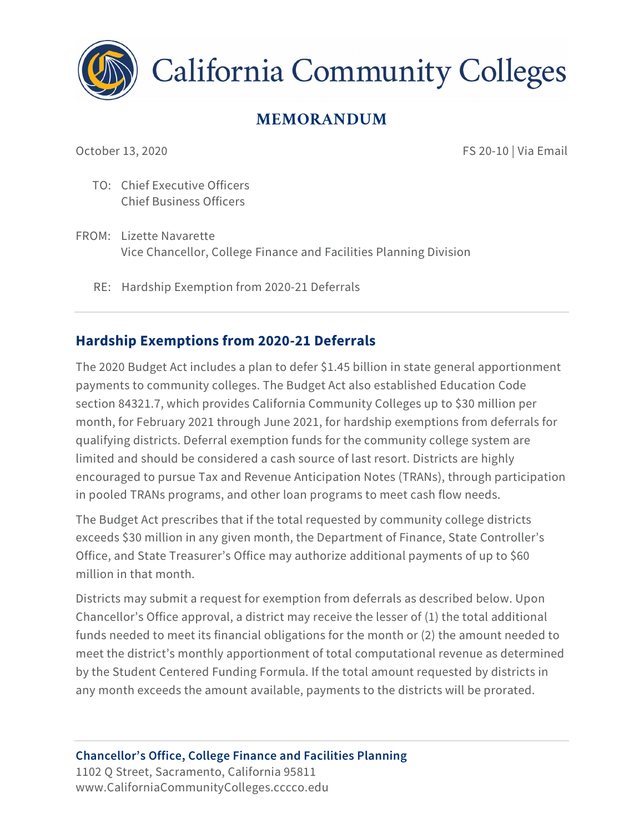

**California Community Colleges** 

# **MEMORANDUM**

October 13, 2020 **FS 20-10 | Via Email** 

TO: Chief Executive Officers Chief Business Officers

- FROM: Lizette Navarette Vice Chancellor, College Finance and Facilities Planning Division
	- RE: Hardship Exemption from 2020-21 Deferrals

## **Hardship Exemptions from 2020-21 Deferrals**

The 2020 Budget Act includes a plan to defer \$1.45 billion in state general apportionment payments to community colleges. The Budget Act also established Education Code section 84321.7, which provides California Community Colleges up to \$30 million per month, for February 2021 through June 2021, for hardship exemptions from deferrals for qualifying districts. Deferral exemption funds for the community college system are limited and should be considered a cash source of last resort. Districts are highly encouraged to pursue Tax and Revenue Anticipation Notes (TRANs), through participation in pooled TRANs programs, and other loan programs to meet cash flow needs.

The Budget Act prescribes that if the total requested by community college districts exceeds \$30 million in any given month, the Department of Finance, State Controller's Office, and State Treasurer's Office may authorize additional payments of up to \$60 million in that month.

Districts may submit a request for exemption from deferrals as described below. Upon Chancellor's Office approval, a district may receive the lesser of (1) the total additional funds needed to meet its financial obligations for the month or (2) the amount needed to meet the district's monthly apportionment of total computational revenue as determined by the Student Centered Funding Formula. If the total amount requested by districts in any month exceeds the amount available, payments to the districts will be prorated.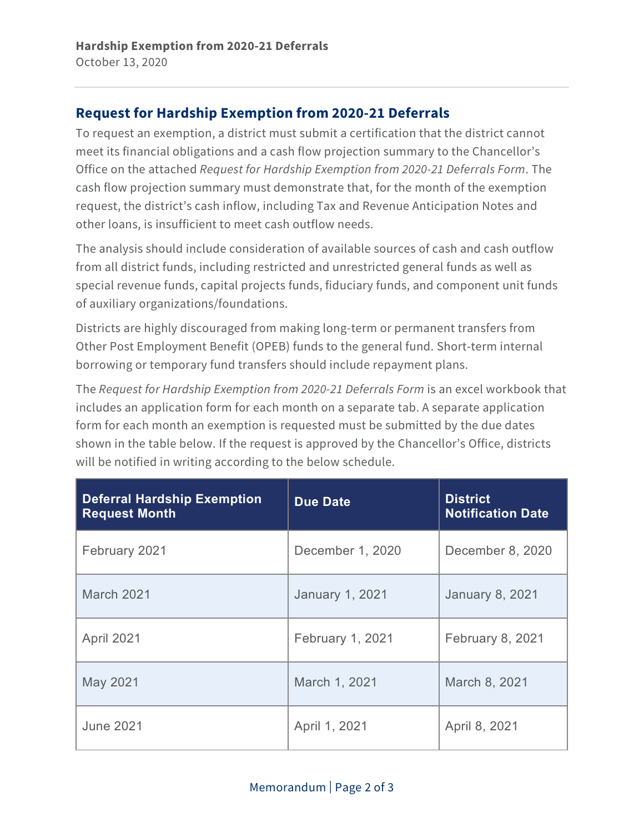## **Request for Hardship Exemption from 2020-21 Deferrals**

To request an exemption, a district must submit a certification that the district cannot meet its financial obligations and a cash flow projection summary to the Chancellor's Office on the attached *Request for Hardship Exemption from 2020-21 Deferrals Form*. The cash flow projection summary must demonstrate that, for the month of the exemption request, the district's cash inflow, including Tax and Revenue Anticipation Notes and other loans, is insufficient to meet cash outflow needs.

The analysis should include consideration of available sources of cash and cash outflow from all district funds, including restricted and unrestricted general funds as well as special revenue funds, capital projects funds, fiduciary funds, and component unit funds of auxiliary organizations/foundations.

Districts are highly discouraged from making long-term or permanent transfers from Other Post Employment Benefit (OPEB) funds to the general fund. Short-term internal borrowing or temporary fund transfers should include repayment plans.

The *Request for Hardship Exemption from 2020-21 Deferrals Form* is an excel workbook that includes an application form for each month on a separate tab. A separate application form for each month an exemption is requested must be submitted by the due dates shown in the table below. If the request is approved by the Chancellor's Office, districts will be notified in writing according to the below schedule.

| <b>Deferral Hardship Exemption</b><br><b>Request Month</b> | Due Date                | <b>District</b><br><b>Notification Date</b> |
|------------------------------------------------------------|-------------------------|---------------------------------------------|
| February 2021                                              | December 1, 2020        | December 8, 2020                            |
| <b>March 2021</b>                                          | <b>January 1, 2021</b>  | <b>January 8, 2021</b>                      |
| April 2021                                                 | <b>February 1, 2021</b> | February 8, 2021                            |
| May 2021                                                   | March 1, 2021           | March 8, 2021                               |
| <b>June 2021</b>                                           | April 1, 2021           | April 8, 2021                               |